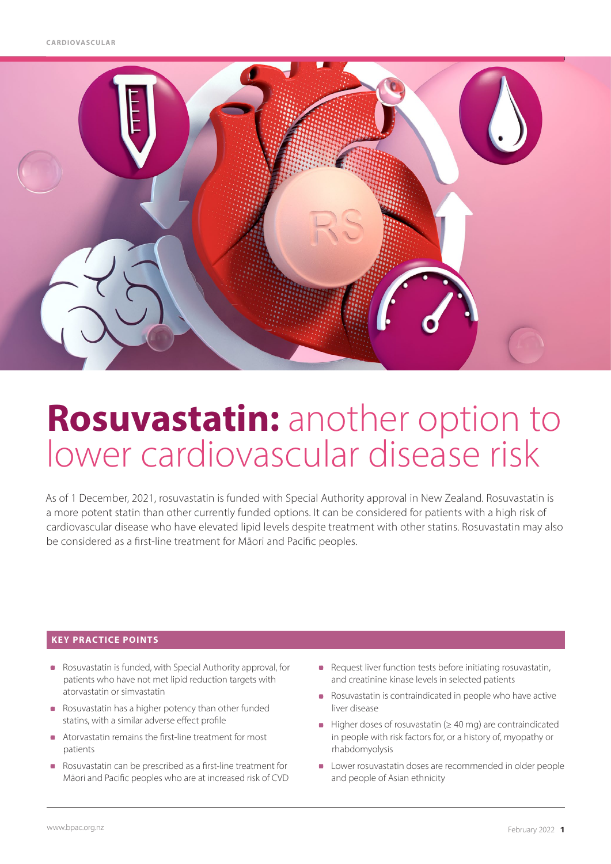

# **Rosuvastatin:** another option to lower cardiovascular disease risk

As of 1 December, 2021, rosuvastatin is funded with Special Authority approval in New Zealand. Rosuvastatin is a more potent statin than other currently funded options. It can be considered for patients with a high risk of cardiovascular disease who have elevated lipid levels despite treatment with other statins. Rosuvastatin may also be considered as a first-line treatment for Māori and Pacific peoples.

## **KEY PRACTICE POINTS**

- Rosuvastatin is funded, with Special Authority approval, for patients who have not met lipid reduction targets with atorvastatin or simvastatin
- Rosuvastatin has a higher potency than other funded statins, with a similar adverse effect profile
- Atorvastatin remains the first-line treatment for most patients
- Rosuvastatin can be prescribed as a first-line treatment for Māori and Pacific peoples who are at increased risk of CVD
- **Request liver function tests before initiating rosuvastatin,** and creatinine kinase levels in selected patients
- Rosuvastatin is contraindicated in people who have active liver disease
- Higher doses of rosuvastatin (≥ 40 mg) are contraindicated in people with risk factors for, or a history of, myopathy or rhabdomyolysis
- **Lower rosuvastatin doses are recommended in older people** and people of Asian ethnicity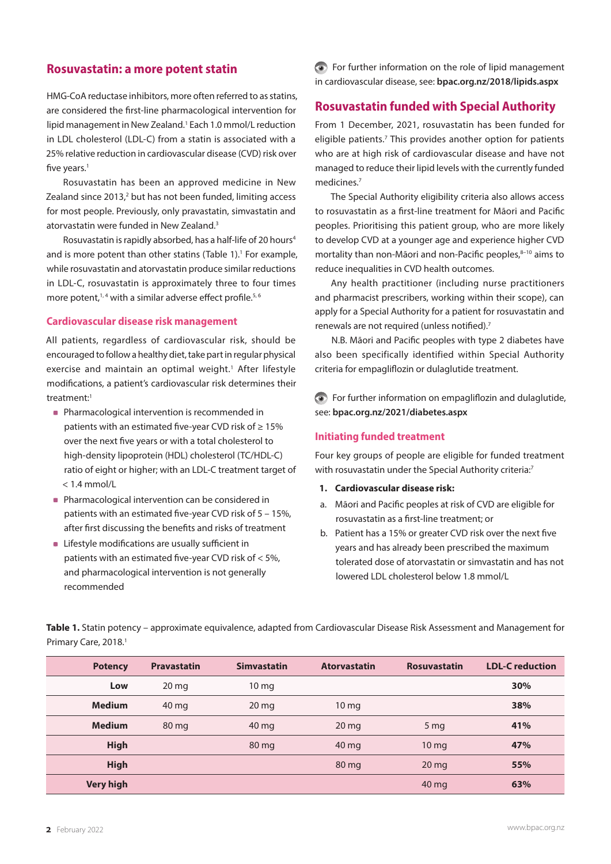HMG‐CoA reductase inhibitors, more often referred to as statins, are considered the first-line pharmacological intervention for lipid management in New Zealand.<sup>1</sup> Each 1.0 mmol/L reduction in LDL cholesterol (LDL-C) from a statin is associated with a 25% relative reduction in cardiovascular disease (CVD) risk over five years.<sup>1</sup>

Rosuvastatin has been an approved medicine in New Zealand since 2013,<sup>2</sup> but has not been funded, limiting access for most people. Previously, only pravastatin, simvastatin and atorvastatin were funded in New Zealand.3

Rosuvastatin is rapidly absorbed, has a half-life of 20 hours<sup>4</sup> and is more potent than other statins (Table 1).<sup>1</sup> For example, while rosuvastatin and atorvastatin produce similar reductions in LDL-C, rosuvastatin is approximately three to four times more potent,<sup> $1, 4$ </sup> with a similar adverse effect profile.<sup>5,6</sup>

## **Cardiovascular disease risk management**

All patients, regardless of cardiovascular risk, should be encouraged to follow a healthy diet, take part in regular physical exercise and maintain an optimal weight.<sup>1</sup> After lifestyle modifications, a patient's cardiovascular risk determines their treatment:1

- **Pharmacological intervention is recommended in** patients with an estimated five-year CVD risk of ≥ 15% over the next five years or with a total cholesterol to high-density lipoprotein (HDL) cholesterol (TC/HDL-C) ratio of eight or higher; with an LDL-C treatment target of  $< 1.4$  mmol/L
- **Pharmacological intervention can be considered in** patients with an estimated five-year CVD risk of 5 – 15%, after first discussing the benefits and risks of treatment
- **EXTENUE MODE IS ENDINEER 12** Lifestyle modifications are usually sufficient in patients with an estimated five-year CVD risk of < 5%, and pharmacological intervention is not generally recommended

For further information on the role of lipid management in cardiovascular disease, see: **[bpac.org.nz/2018/lipids.aspx](https://bpac.org.nz/2018/lipids.aspx)** 

# **Rosuvastatin funded with Special Authority**

From 1 December, 2021, rosuvastatin has been funded for eligible patients.<sup>7</sup> This provides another option for patients who are at high risk of cardiovascular disease and have not managed to reduce their lipid levels with the currently funded medicines.7

The Special Authority eligibility criteria also allows access to rosuvastatin as a first-line treatment for Māori and Pacific peoples. Prioritising this patient group, who are more likely to develop CVD at a younger age and experience higher CVD mortality than non-Māori and non-Pacific peoples,<sup>8-10</sup> aims to reduce inequalities in CVD health outcomes.

Any health practitioner (including nurse practitioners and pharmacist prescribers, working within their scope), can apply for a Special Authority for a patient for rosuvastatin and renewals are not required (unless notified).<sup>7</sup>

N.B. Māori and Pacific peoples with type 2 diabetes have also been specifically identified within Special Authority criteria for empagliflozin or dulaglutide treatment.

For further information on empagliflozin and dulaglutide, see: **[bpac.org.nz/2021/diabetes.aspx](https://bpac.org.nz/2021/diabetes.aspx)** 

## **Initiating funded treatment**

Four key groups of people are eligible for funded treatment with rosuvastatin under the Special Authority criteria:<sup>7</sup>

- **1. Cardiovascular disease risk:**
- a. Māori and Pacific peoples at risk of CVD are eligible for rosuvastatin as a first-line treatment; or
- b. Patient has a 15% or greater CVD risk over the next five years and has already been prescribed the maximum tolerated dose of atorvastatin or simvastatin and has not lowered LDL cholesterol below 1.8 mmol/L

**Table 1.** Statin potency – approximate equivalence, adapted from Cardiovascular Disease Risk Assessment and Management for Primary Care, 2018.<sup>1</sup>

| <b>Potency</b>   | <b>Pravastatin</b> | <b>Simvastatin</b> | <b>Atorvastatin</b> | <b>Rosuvastatin</b> | <b>LDL-C</b> reduction |
|------------------|--------------------|--------------------|---------------------|---------------------|------------------------|
| Low              | $20 \,\mathrm{mg}$ | 10 <sub>mg</sub>   |                     |                     | 30%                    |
| <b>Medium</b>    | 40 mg              | $20 \,\mathrm{mg}$ | 10 <sub>mg</sub>    |                     | 38%                    |
| <b>Medium</b>    | 80 mg              | 40 mg              | 20 <sub>mg</sub>    | 5 <sub>mg</sub>     | 41%                    |
| <b>High</b>      |                    | 80 mg              | 40 mg               | 10 <sub>mg</sub>    | 47%                    |
| <b>High</b>      |                    |                    | 80 mg               | 20 <sub>mg</sub>    | 55%                    |
| <b>Very high</b> |                    |                    |                     | 40 mg               | 63%                    |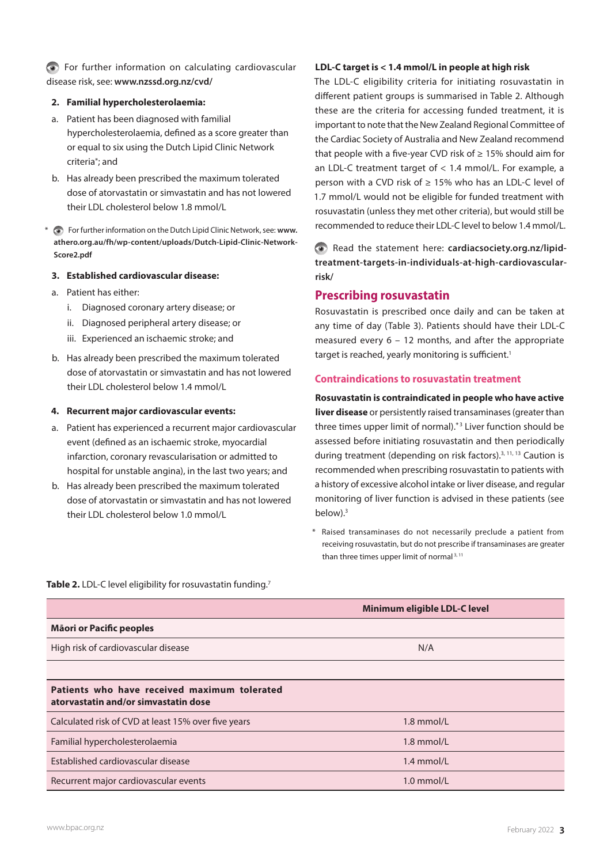For further information on calculating cardiovascular disease risk, see: **[www.nzssd.org.nz/cvd/](https://www.nzssd.org.nz/cvd/)** 

## **2. Familial hypercholesterolaemia:**

- a. Patient has been diagnosed with familial hypercholesterolaemia, defined as a score greater than or equal to six using the Dutch Lipid Clinic Network criteria\*; and
- b. Has already been prescribed the maximum tolerated dose of atorvastatin or simvastatin and has not lowered their LDL cholesterol below 1.8 mmol/L
- \* For further information on the Dutch Lipid Clinic Network, see: **[www.](https://www.athero.org.au/fh/wp-content/uploads/Dutch-Lipid-Clinic-Network-Score2.pdf) [athero.org.au/fh/wp-content/uploads/Dutch-Lipid-Clinic-Network-](https://www.athero.org.au/fh/wp-content/uploads/Dutch-Lipid-Clinic-Network-Score2.pdf)[Score2.pdf](https://www.athero.org.au/fh/wp-content/uploads/Dutch-Lipid-Clinic-Network-Score2.pdf)**

## **3. Established cardiovascular disease:**

- a. Patient has either:
	- i. Diagnosed coronary artery disease; or
	- ii. Diagnosed peripheral artery disease; or
	- iii. Experienced an ischaemic stroke; and
- b. Has already been prescribed the maximum tolerated dose of atorvastatin or simvastatin and has not lowered their LDL cholesterol below 1.4 mmol/L

## **4. Recurrent major cardiovascular events:**

- a. Patient has experienced a recurrent major cardiovascular event (defined as an ischaemic stroke, myocardial infarction, coronary revascularisation or admitted to hospital for unstable angina), in the last two years; and
- b. Has already been prescribed the maximum tolerated dose of atorvastatin or simvastatin and has not lowered their LDL cholesterol below 1.0 mmol/L

## **LDL-C target is < 1.4 mmol/L in people at high risk**

The LDL-C eligibility criteria for initiating rosuvastatin in different patient groups is summarised in Table 2. Although these are the criteria for accessing funded treatment, it is important to note that the New Zealand Regional Committee of the Cardiac Society of Australia and New Zealand recommend that people with a five-year CVD risk of  $\geq 15\%$  should aim for an LDL-C treatment target of < 1.4 mmol/L. For example, a person with a CVD risk of ≥ 15% who has an LDL-C level of 1.7 mmol/L would not be eligible for funded treatment with rosuvastatin (unless they met other criteria), but would still be recommended to reduce their LDL-C level to below 1.4 mmol/L.

Read the statement here: **[cardiacsociety.org.nz/lipid](https://cardiacsociety.org.nz/lipid-treatment-targets-in-individuals-at-high-cardiovascular-risk/)[treatment-targets-in-individuals-at-high-cardiovascular](https://cardiacsociety.org.nz/lipid-treatment-targets-in-individuals-at-high-cardiovascular-risk/)[risk/](https://cardiacsociety.org.nz/lipid-treatment-targets-in-individuals-at-high-cardiovascular-risk/)**

## **Prescribing rosuvastatin**

Rosuvastatin is prescribed once daily and can be taken at any time of day (Table 3). Patients should have their LDL-C measured every 6 – 12 months, and after the appropriate target is reached, yearly monitoring is sufficient.<sup>1</sup>

## **Contraindications to rosuvastatin treatment**

**Rosuvastatin is contraindicated in people who have active liver disease** or persistently raised transaminases (greater than three times upper limit of normal).<sup>\*3</sup> Liver function should be assessed before initiating rosuvastatin and then periodically during treatment (depending on risk factors).<sup>3, 11, 13</sup> Caution is recommended when prescribing rosuvastatin to patients with a history of excessive alcohol intake or liver disease, and regular monitoring of liver function is advised in these patients (see below).3

\* Raised transaminases do not necessarily preclude a patient from receiving rosuvastatin, but do not prescribe if transaminases are greater than three times upper limit of normal<sup>3, 11</sup>

|                                                                                      | Minimum eligible LDL-C level |  |  |  |
|--------------------------------------------------------------------------------------|------------------------------|--|--|--|
| <b>Mäori or Pacific peoples</b>                                                      |                              |  |  |  |
| High risk of cardiovascular disease                                                  | N/A                          |  |  |  |
|                                                                                      |                              |  |  |  |
| Patients who have received maximum tolerated<br>atorvastatin and/or simvastatin dose |                              |  |  |  |
| Calculated risk of CVD at least 15% over five years                                  | 1.8 mmol/L                   |  |  |  |
| Familial hypercholesterolaemia                                                       | $1.8$ mmol/L                 |  |  |  |
| Established cardiovascular disease                                                   | $1.4$ mmol/L                 |  |  |  |
| Recurrent major cardiovascular events                                                | $1.0$ mmol/L                 |  |  |  |

**Table 2.** LDL-C level eligibility for rosuvastatin funding.7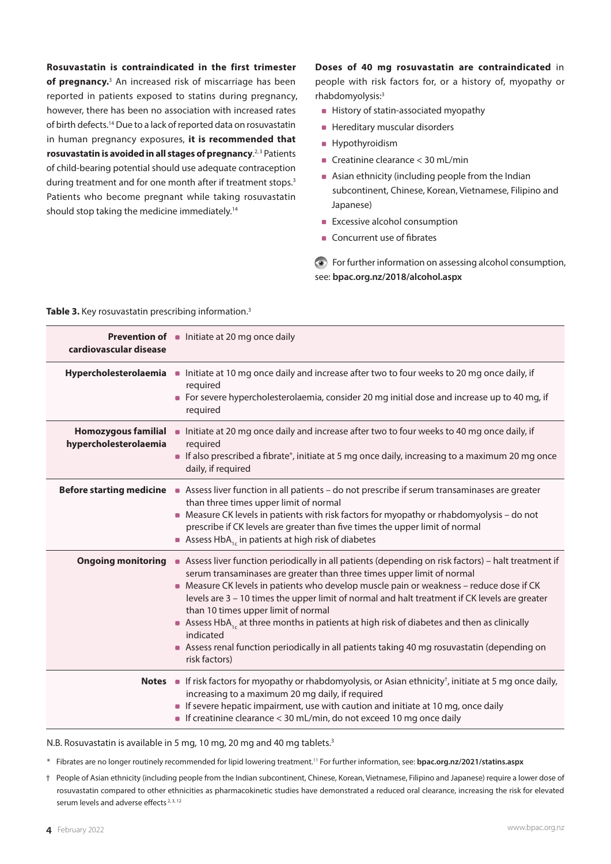**Rosuvastatin is contraindicated in the first trimester**  of pregnancy.<sup>3</sup> An increased risk of miscarriage has been reported in patients exposed to statins during pregnancy, however, there has been no association with increased rates of birth defects.14 Due to a lack of reported data on rosuvastatin in human pregnancy exposures, **it is recommended that rosuvastatin is avoided in all stages of pregnancy.**<sup>2,3</sup> Patients of child-bearing potential should use adequate contraception during treatment and for one month after if treatment stops.<sup>3</sup> Patients who become pregnant while taking rosuvastatin should stop taking the medicine immediately.<sup>14</sup>

**Doses of 40 mg rosuvastatin are contraindicated** in people with risk factors for, or a history of, myopathy or rhabdomyolysis:3

- **History of statin-associated myopathy**
- **Hereditary muscular disorders**
- **Hypothyroidism**
- $\blacksquare$  Creatinine clearance < 30 mL/min
- **Asian ethnicity (including people from the Indian** subcontinent, Chinese, Korean, Vietnamese, Filipino and Japanese)
- **Excessive alcohol consumption**
- Concurrent use of fibrates

For further information on assessing alcohol consumption, see: **[bpac.org.nz/2018/alcohol.aspx](https://bpac.org.nz/2018/alcohol.aspx)**

Table 3. Key rosuvastatin prescribing information.<sup>3</sup>

| cardiovascular disease                              | <b>Prevention of Initiate at 20 mg once daily</b>                                                                                                                                                                                                                                                                                                                                                                                                                                                                                                                                                                                                   |
|-----------------------------------------------------|-----------------------------------------------------------------------------------------------------------------------------------------------------------------------------------------------------------------------------------------------------------------------------------------------------------------------------------------------------------------------------------------------------------------------------------------------------------------------------------------------------------------------------------------------------------------------------------------------------------------------------------------------------|
|                                                     | Hypercholesterolaemia • Initiate at 10 mg once daily and increase after two to four weeks to 20 mg once daily, if<br>required<br>• For severe hypercholesterolaemia, consider 20 mg initial dose and increase up to 40 mg, if<br>required                                                                                                                                                                                                                                                                                                                                                                                                           |
| <b>Homozygous familial</b><br>hypercholesterolaemia | Initiate at 20 mg once daily and increase after two to four weeks to 40 mg once daily, if<br>required<br>If also prescribed a fibrate*, initiate at 5 mg once daily, increasing to a maximum 20 mg once<br>daily, if required                                                                                                                                                                                                                                                                                                                                                                                                                       |
|                                                     | Before starting medicine<br><b>Before starting medicine</b><br><b>Before starting medicine</b> assess liver function in all patients - do not prescribe if serum transaminases are greater<br>than three times upper limit of normal<br>• Measure CK levels in patients with risk factors for myopathy or rhabdomyolysis - do not<br>prescribe if CK levels are greater than five times the upper limit of normal<br>Assess $HbA_{1c}$ in patients at high risk of diabetes                                                                                                                                                                         |
| <b>Ongoing monitoring</b>                           | Assess liver function periodically in all patients (depending on risk factors) - halt treatment if<br>serum transaminases are greater than three times upper limit of normal<br>A Measure CK levels in patients who develop muscle pain or weakness - reduce dose if CK<br>levels are 3 - 10 times the upper limit of normal and halt treatment if CK levels are greater<br>than 10 times upper limit of normal<br>Assess HbA <sub>1,</sub> at three months in patients at high risk of diabetes and then as clinically<br>indicated<br>Assess renal function periodically in all patients taking 40 mg rosuvastatin (depending on<br>risk factors) |
|                                                     | Notes ■ If risk factors for myopathy or rhabdomyolysis, or Asian ethnicity <sup>†</sup> , initiate at 5 mg once daily,<br>increasing to a maximum 20 mg daily, if required<br>If severe hepatic impairment, use with caution and initiate at 10 mg, once daily<br>If creatinine clearance $<$ 30 mL/min, do not exceed 10 mg once daily                                                                                                                                                                                                                                                                                                             |

N.B. Rosuvastatin is available in 5 mg, 10 mg, 20 mg and 40 mg tablets.<sup>3</sup>

\* Fibrates are no longer routinely recommended for lipid lowering treatment.11 For further information, see: **[bpac.org.nz/2021/statins.aspx](https://bpac.org.nz/2021/statins.aspx)**

† People of Asian ethnicity (including people from the Indian subcontinent, Chinese, Korean, Vietnamese, Filipino and Japanese) require a lower dose of rosuvastatin compared to other ethnicities as pharmacokinetic studies have demonstrated a reduced oral clearance, increasing the risk for elevated serum levels and adverse effects<sup>2, 3, 12</sup>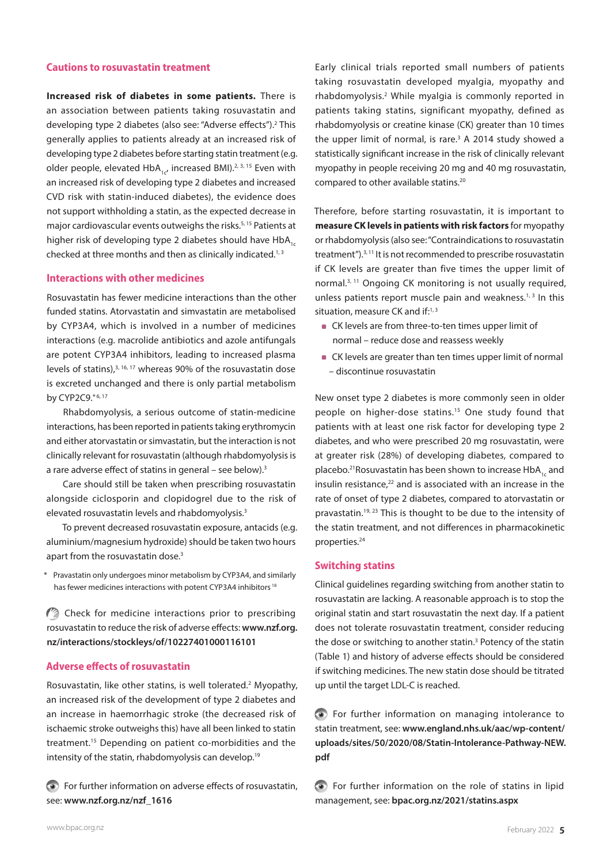## **Cautions to rosuvastatin treatment**

**Increased risk of diabetes in some patients.** There is an association between patients taking rosuvastatin and developing type 2 diabetes (also see: "Adverse effects").<sup>2</sup> This generally applies to patients already at an increased risk of developing type 2 diabetes before starting statin treatment (e.g. older people, elevated  $HbA_{1c}$ , increased BMI).<sup>2, 3, 15</sup> Even with an increased risk of developing type 2 diabetes and increased CVD risk with statin-induced diabetes), the evidence does not support withholding a statin, as the expected decrease in major cardiovascular events outweighs the risks.<sup>5, 15</sup> Patients at higher risk of developing type 2 diabetes should have  $HbA_{1c}$ checked at three months and then as clinically indicated.<sup>1, 3</sup>

#### **Interactions with other medicines**

Rosuvastatin has fewer medicine interactions than the other funded statins. Atorvastatin and simvastatin are metabolised by CYP3A4, which is involved in a number of medicines interactions (e.g. macrolide antibiotics and azole antifungals are potent CYP3A4 inhibitors, leading to increased plasma levels of statins),3, 16, 17 whereas 90% of the rosuvastatin dose is excreted unchanged and there is only partial metabolism by CYP2C9.\*6,17

Rhabdomyolysis, a serious outcome of statin-medicine interactions, has been reported in patients taking erythromycin and either atorvastatin or simvastatin, but the interaction is not clinically relevant for rosuvastatin (although rhabdomyolysis is a rare adverse effect of statins in general – see below).<sup>3</sup>

Care should still be taken when prescribing rosuvastatin alongside ciclosporin and clopidogrel due to the risk of elevated rosuvastatin levels and rhabdomyolysis.<sup>3</sup>

To prevent decreased rosuvastatin exposure, antacids (e.g. aluminium/magnesium hydroxide) should be taken two hours apart from the rosuvastatin dose.<sup>3</sup>

Pravastatin only undergoes minor metabolism by CYP3A4, and similarly has fewer medicines interactions with potent CYP3A4 inhibitors<sup>18</sup>

 $\sqrt{2}$  Check for medicine interactions prior to prescribing rosuvastatin to reduce the risk of adverse effects: **[www.nzf.org.](https://www.nzf.org.nz/interactions/stockleys/of/10227401000116101) [nz/interactions/stockleys/of/10227401000116101](https://www.nzf.org.nz/interactions/stockleys/of/10227401000116101)**

#### **Adverse effects of rosuvastatin**

Rosuvastatin, like other statins, is well tolerated.<sup>2</sup> Myopathy, an increased risk of the development of type 2 diabetes and an increase in haemorrhagic stroke (the decreased risk of ischaemic stroke outweighs this) have all been linked to statin treatment.15 Depending on patient co-morbidities and the intensity of the statin, rhabdomyolysis can develop.<sup>19</sup>

For further information on adverse effects of rosuvastatin, see: **[www.nzf.org.nz/nzf\\_1616](https://www.nzf.org.nz/nzf_1616)**

Early clinical trials reported small numbers of patients taking rosuvastatin developed myalgia, myopathy and rhabdomyolysis.2 While myalgia is commonly reported in patients taking statins, significant myopathy, defined as rhabdomyolysis or creatine kinase (CK) greater than 10 times the upper limit of normal, is rare.<sup>3</sup> A 2014 study showed a statistically significant increase in the risk of clinically relevant myopathy in people receiving 20 mg and 40 mg rosuvastatin, compared to other available statins.20

Therefore, before starting rosuvastatin, it is important to **measure CK levels in patients with risk factors** for myopathy or rhabdomyolysis (also see: "Contraindications to rosuvastatin treatment").<sup>3, 11</sup> It is not recommended to prescribe rosuvastatin if CK levels are greater than five times the upper limit of normal.3, 11 Ongoing CK monitoring is not usually required, unless patients report muscle pain and weakness.<sup>1, 3</sup> In this situation, measure CK and if:<sup>1,3</sup>

- CK levels are from three-to-ten times upper limit of normal – reduce dose and reassess weekly
- CK levels are greater than ten times upper limit of normal – discontinue rosuvastatin

New onset type 2 diabetes is more commonly seen in older people on higher-dose statins.15 One study found that patients with at least one risk factor for developing type 2 diabetes, and who were prescribed 20 mg rosuvastatin, were at greater risk (28%) of developing diabetes, compared to placebo.<sup>21</sup>Rosuvastatin has been shown to increase HbA<sub>1</sub> and insulin resistance,<sup>22</sup> and is associated with an increase in the rate of onset of type 2 diabetes, compared to atorvastatin or pravastatin.19, 23 This is thought to be due to the intensity of the statin treatment, and not differences in pharmacokinetic properties.24

#### **Switching statins**

Clinical guidelines regarding switching from another statin to rosuvastatin are lacking. A reasonable approach is to stop the original statin and start rosuvastatin the next day. If a patient does not tolerate rosuvastatin treatment, consider reducing the dose or switching to another statin.<sup>3</sup> Potency of the statin (Table 1) and history of adverse effects should be considered if switching medicines. The new statin dose should be titrated up until the target LDL-C is reached.

For further information on managing intolerance to statin treatment, see: **[www.england.nhs.uk/aac/wp-content/](https://www.england.nhs.uk/aac/wp-content/uploads/sites/50/2020/08/Statin-Intolerance-Pathway-NEW.pdf) [uploads/sites/50/2020/08/Statin-Intolerance-Pathway-NEW.](https://www.england.nhs.uk/aac/wp-content/uploads/sites/50/2020/08/Statin-Intolerance-Pathway-NEW.pdf) [pdf](https://www.england.nhs.uk/aac/wp-content/uploads/sites/50/2020/08/Statin-Intolerance-Pathway-NEW.pdf)** 

For further information on the role of statins in lipid management, see: **[bpac.org.nz/2021/statins.aspx](https://bpac.org.nz/2021/statins.aspx)**